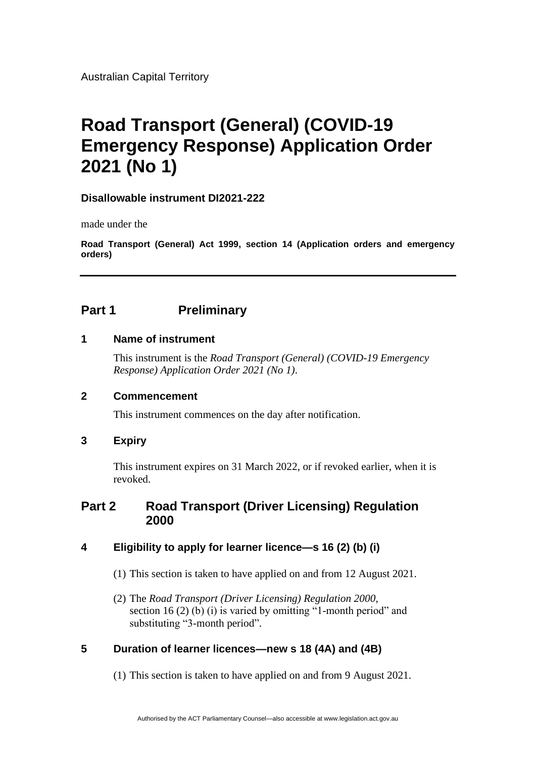Australian Capital Territory

# **Road Transport (General) (COVID-19 Emergency Response) Application Order 2021 (No 1)**

## **Disallowable instrument DI2021-222**

made under the

**Road Transport (General) Act 1999, section 14 (Application orders and emergency orders)**

# **Part 1 Preliminary**

#### **1 Name of instrument**

This instrument is the *Road Transport (General) (COVID-19 Emergency Response) Application Order 2021 (No 1)*.

## **2 Commencement**

This instrument commences on the day after notification.

## **3 Expiry**

This instrument expires on 31 March 2022, or if revoked earlier, when it is revoked.

# **Part 2 Road Transport (Driver Licensing) Regulation 2000**

# **4 Eligibility to apply for learner licence—s 16 (2) (b) (i)**

- (1) This section is taken to have applied on and from 12 August 2021.
- (2) The *Road Transport (Driver Licensing) Regulation 2000*, section 16 (2) (b) (i) is varied by omitting "1-month period" and substituting "3-month period".

## **5 Duration of learner licences—new s 18 (4A) and (4B)**

(1) This section is taken to have applied on and from 9 August 2021.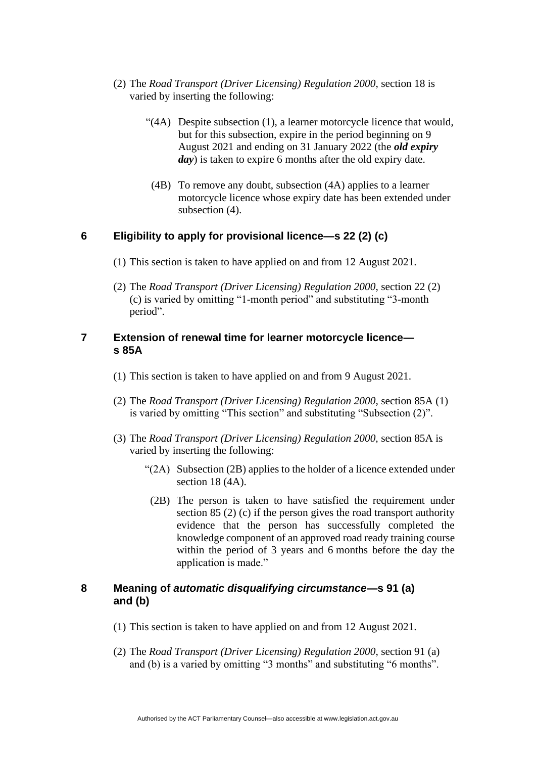- (2) The *Road Transport (Driver Licensing) Regulation 2000*, section 18 is varied by inserting the following:
	- "(4A) Despite subsection (1), a learner motorcycle licence that would, but for this subsection, expire in the period beginning on 9 August 2021 and ending on 31 January 2022 (the *old expiry day*) is taken to expire 6 months after the old expiry date.
	- (4B) To remove any doubt, subsection (4A) applies to a learner motorcycle licence whose expiry date has been extended under subsection (4).

# **6 Eligibility to apply for provisional licence—s 22 (2) (c)**

- (1) This section is taken to have applied on and from 12 August 2021.
- (2) The *Road Transport (Driver Licensing) Regulation 2000*, section 22 (2) (c) is varied by omitting "1-month period" and substituting "3-month period".

#### **7 Extension of renewal time for learner motorcycle licence s 85A**

- (1) This section is taken to have applied on and from 9 August 2021.
- (2) The *Road Transport (Driver Licensing) Regulation 2000,* section 85A (1) is varied by omitting "This section" and substituting "Subsection (2)".
- (3) The *Road Transport (Driver Licensing) Regulation 2000,* section 85A is varied by inserting the following:
	- "(2A) Subsection (2B) applies to the holder of a licence extended under section 18 (4A).
	- (2B) The person is taken to have satisfied the requirement under section 85 (2) (c) if the person gives the road transport authority evidence that the person has successfully completed the knowledge component of an approved road ready training course within the period of 3 years and 6 months before the day the application is made."

#### **8 Meaning of** *automatic disqualifying circumstance***—s 91 (a) and (b)**

- (1) This section is taken to have applied on and from 12 August 2021.
- (2) The *Road Transport (Driver Licensing) Regulation 2000*, section 91 (a) and (b) is a varied by omitting "3 months" and substituting "6 months".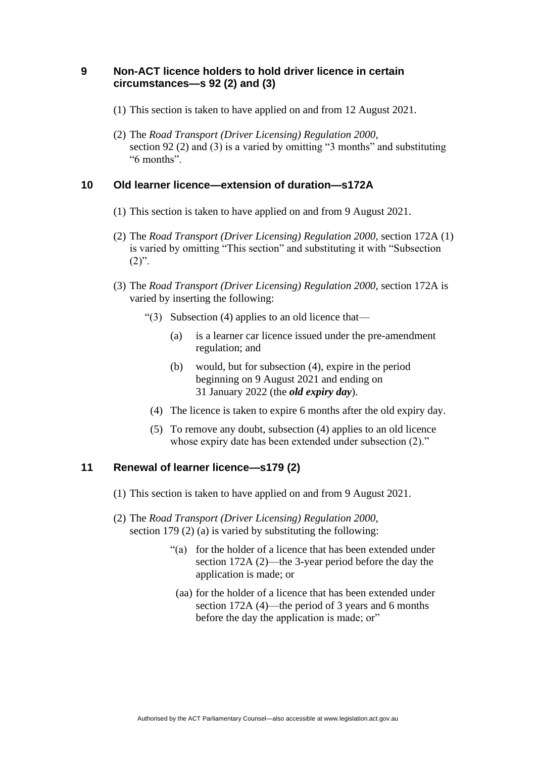#### **9 Non-ACT licence holders to hold driver licence in certain circumstances—s 92 (2) and (3)**

- (1) This section is taken to have applied on and from 12 August 2021.
- (2) The *Road Transport (Driver Licensing) Regulation 2000*, section 92 (2) and (3) is a varied by omitting "3 months" and substituting "6 months".

# **10 Old learner licence—extension of duration—s172A**

- (1) This section is taken to have applied on and from 9 August 2021.
- (2) The *Road Transport (Driver Licensing) Regulation 2000*, section 172A (1) is varied by omitting "This section" and substituting it with "Subsection  $(2)$ ".
- (3) The *Road Transport (Driver Licensing) Regulation 2000*, section 172A is varied by inserting the following:
	- "(3) Subsection (4) applies to an old licence that—
		- (a) is a learner car licence issued under the pre-amendment regulation; and
		- (b) would, but for subsection (4), expire in the period beginning on 9 August 2021 and ending on 31 January 2022 (the *old expiry day*).
		- (4) The licence is taken to expire 6 months after the old expiry day.
		- (5) To remove any doubt, subsection (4) applies to an old licence whose expiry date has been extended under subsection  $(2)$ ."

## **11 Renewal of learner licence—s179 (2)**

- (1) This section is taken to have applied on and from 9 August 2021.
- (2) The *Road Transport (Driver Licensing) Regulation 2000*, section 179 (2) (a) is varied by substituting the following:
	- "(a) for the holder of a licence that has been extended under section 172A (2)—the 3-year period before the day the application is made; or
		- (aa) for the holder of a licence that has been extended under section 172A (4)—the period of 3 years and 6 months before the day the application is made; or"